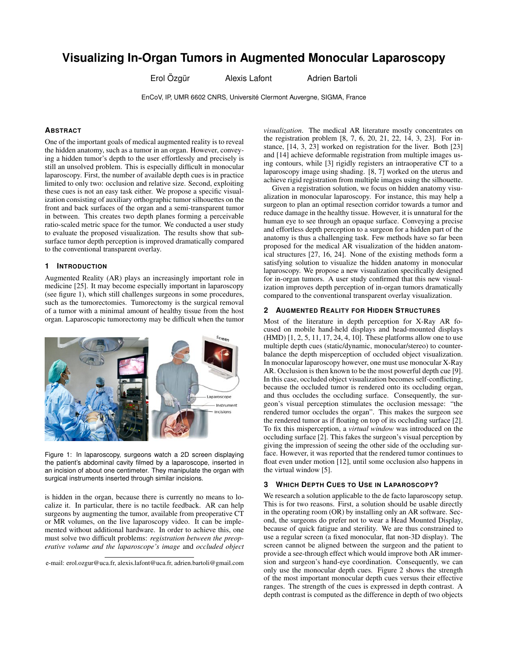# **Visualizing In-Organ Tumors in Augmented Monocular Laparoscopy**

Erol Özgür Ölexis Lafont Tartoli Erol Özgür

EnCoV, IP, UMR 6602 CNRS, Université Clermont Auvergne, SIGMA, France

# **ABSTRACT**

One of the important goals of medical augmented reality is to reveal the hidden anatomy, such as a tumor in an organ. However, conveying a hidden tumor's depth to the user effortlessly and precisely is still an unsolved problem. This is especially difficult in monocular laparoscopy. First, the number of available depth cues is in practice limited to only two: occlusion and relative size. Second, exploiting these cues is not an easy task either. We propose a specific visualization consisting of auxiliary orthographic tumor silhouettes on the front and back surfaces of the organ and a semi-transparent tumor in between. This creates two depth planes forming a perceivable ratio-scaled metric space for the tumor. We conducted a user study to evaluate the proposed visualization. The results show that subsurface tumor depth perception is improved dramatically compared to the conventional transparent overlay.

## **1 INTRODUCTION**

Augmented Reality (AR) plays an increasingly important role in medicine [25]. It may become especially important in laparoscopy (see figure 1), which still challenges surgeons in some procedures, such as the tumorectomies. Tumorectomy is the surgical removal of a tumor with a minimal amount of healthy tissue from the host organ. Laparoscopic tumorectomy may be difficult when the tumor



Figure 1: In laparoscopy, surgeons watch a 2D screen displaying the patient's abdominal cavity filmed by a laparoscope, inserted in an incision of about one centimeter. They manipulate the organ with surgical instruments inserted through similar incisions.

is hidden in the organ, because there is currently no means to localize it. In particular, there is no tactile feedback. AR can help surgeons by augmenting the tumor, available from preoperative CT or MR volumes, on the live laparoscopy video. It can be implemented without additional hardware. In order to achieve this, one must solve two difficult problems: *registration between the preoperative volume and the laparoscope's image* and *occluded object*

e-mail: erol.ozgur@uca.fr, alexis.lafont@uca.fr, adrien.bartoli@gmail.com

*visualization*. The medical AR literature mostly concentrates on the registration problem [8, 7, 6, 20, 21, 22, 14, 3, 23]. For instance, [14, 3, 23] worked on registration for the liver. Both [23] and [14] achieve deformable registration from multiple images using contours, while [3] rigidly registers an intraoperative CT to a laparoscopy image using shading. [8, 7] worked on the uterus and achieve rigid registration from multiple images using the silhouette.

Given a registration solution, we focus on hidden anatomy visualization in monocular laparoscopy. For instance, this may help a surgeon to plan an optimal resection corridor towards a tumor and reduce damage in the healthy tissue. However, it is unnatural for the human eye to see through an opaque surface. Conveying a precise and effortless depth perception to a surgeon for a hidden part of the anatomy is thus a challenging task. Few methods have so far been proposed for the medical AR visualization of the hidden anatomical structures [27, 16, 24]. None of the existing methods form a satisfying solution to visualize the hidden anatomy in monocular laparoscopy. We propose a new visualization specifically designed for in-organ tumors. A user study confirmed that this new visualization improves depth perception of in-organ tumors dramatically compared to the conventional transparent overlay visualization.

## **2 AUGMENTED REALITY FOR HIDDEN STRUCTURES**

Most of the literature in depth perception for X-Ray AR focused on mobile hand-held displays and head-mounted displays (HMD) [1, 2, 5, 11, 17, 24, 4, 10]. These platforms allow one to use multiple depth cues (static/dynamic, monocular/stereo) to counterbalance the depth misperception of occluded object visualization. In monocular laparoscopy however, one must use monocular X-Ray AR. Occlusion is then known to be the most powerful depth cue [9]. In this case, occluded object visualization becomes self-conflicting, because the occluded tumor is rendered onto its occluding organ, and thus occludes the occluding surface. Consequently, the surgeon's visual perception stimulates the occlusion message: "the rendered tumor occludes the organ". This makes the surgeon see the rendered tumor as if floating on top of its occluding surface [2]. To fix this misperception, a *virtual window* was introduced on the occluding surface [2]. This fakes the surgeon's visual perception by giving the impression of seeing the other side of the occluding surface. However, it was reported that the rendered tumor continues to float even under motion [12], until some occlusion also happens in the virtual window [5].

## **3 WHICH DEPTH CUES TO USE IN LAPAROSCOPY?**

We research a solution applicable to the de facto laparoscopy setup. This is for two reasons. First, a solution should be usable directly in the operating room (OR) by installing only an AR software. Second, the surgeons do prefer not to wear a Head Mounted Display, because of quick fatigue and sterility. We are thus constrained to use a regular screen (a fixed monocular, flat non-3D display). The screen cannot be aligned between the surgeon and the patient to provide a see-through effect which would improve both AR immersion and surgeon's hand-eye coordination. Consequently, we can only use the monocular depth cues. Figure 2 shows the strength of the most important monocular depth cues versus their effective ranges. The strength of the cues is expressed in depth contrast. A depth contrast is computed as the difference in depth of two objects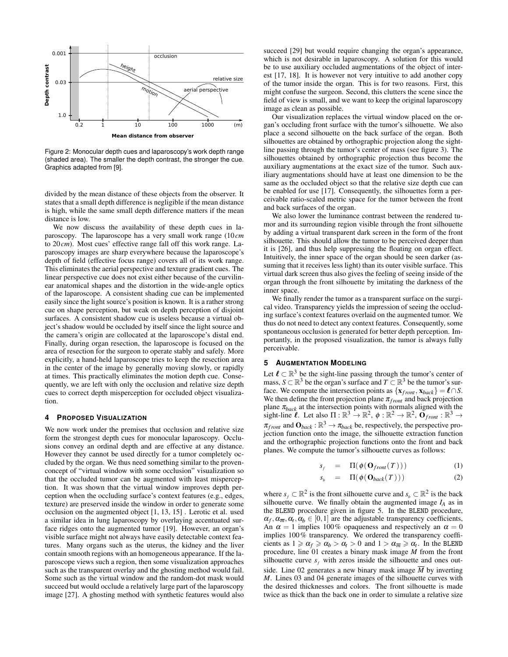

Figure 2: Monocular depth cues and laparoscopy's work depth range (shaded area). The smaller the depth contrast, the stronger the cue. Graphics adapted from [9].

divided by the mean distance of these objects from the observer. It states that a small depth difference is negligible if the mean distance is high, while the same small depth difference matters if the mean distance is low.

We now discuss the availability of these depth cues in laparoscopy. The laparoscope has a very small work range (10*cm* to 20*cm*). Most cues' effective range fall off this work range. Laparoscopy images are sharp everywhere because the laparoscope's depth of field (effective focus range) covers all of its work range. This eliminates the aerial perspective and texture gradient cues. The linear perspective cue does not exist either because of the curvilinear anatomical shapes and the distortion in the wide-angle optics of the laparoscope. A consistent shading cue can be implemented easily since the light source's position is known. It is a rather strong cue on shape perception, but weak on depth perception of disjoint surfaces. A consistent shadow cue is useless because a virtual object's shadow would be occluded by itself since the light source and the camera's origin are collocated at the laparoscope's distal end. Finally, during organ resection, the laparoscope is focused on the area of resection for the surgeon to operate stably and safely. More explicitly, a hand-held laparoscope tries to keep the resection area in the center of the image by generally moving slowly, or rapidly at times. This practically eliminates the motion depth cue. Consequently, we are left with only the occlusion and relative size depth cues to correct depth misperception for occluded object visualization.

#### **4 PROPOSED VISUALIZATION**

We now work under the premises that occlusion and relative size form the strongest depth cues for monocular laparoscopy. Occlusions convey an ordinal depth and are effective at any distance. However they cannot be used directly for a tumor completely occluded by the organ. We thus need something similar to the provenconcept of "virtual window with some occlusion" visualization so that the occluded tumor can be augmented with least misperception. It was shown that the virtual window improves depth perception when the occluding surface's context features (e.g., edges, texture) are preserved inside the window in order to generate some occlusion on the augmented object [1, 13, 15] . Lerotic et al. used a similar idea in lung laparoscopy by overlaying accentuated surface ridges onto the augmented tumor [19]. However, an organ's visible surface might not always have easily detectable context features. Many organs such as the uterus, the kidney and the liver contain smooth regions with an homogeneous appearance. If the laparoscope views such a region, then some visualization approaches such as the transparent overlay and the ghosting method would fail. Some such as the virtual window and the random-dot mask would succeed but would occlude a relatively large part of the laparoscopy image [27]. A ghosting method with synthetic features would also succeed [29] but would require changing the organ's appearance, which is not desirable in laparoscopy. A solution for this would be to use auxiliary occluded augmentations of the object of interest [17, 18]. It is however not very intuitive to add another copy of the tumor inside the organ. This is for two reasons. First, this might confuse the surgeon. Second, this clutters the scene since the field of view is small, and we want to keep the original laparoscopy image as clean as possible.

Our visualization replaces the virtual window placed on the organ's occluding front surface with the tumor's silhouette. We also place a second silhouette on the back surface of the organ. Both silhouettes are obtained by orthographic projection along the sightline passing through the tumor's center of mass (see figure 3). The silhouettes obtained by orthographic projection thus become the auxiliary augmentations at the exact size of the tumor. Such auxiliary augmentations should have at least one dimension to be the same as the occluded object so that the relative size depth cue can be enabled for use [17]. Consequently, the silhouettes form a perceivable ratio-scaled metric space for the tumor between the front and back surfaces of the organ.

We also lower the luminance contrast between the rendered tumor and its surrounding region visible through the front silhouette by adding a virtual transparent dark screen in the form of the front silhouette. This should allow the tumor to be perceived deeper than it is [26], and thus help suppressing the floating on organ effect. Intuitively, the inner space of the organ should be seen darker (assuming that it receives less light) than its outer visible surface. This virtual dark screen thus also gives the feeling of seeing inside of the organ through the front silhouette by imitating the darkness of the inner space.

We finally render the tumor as a transparent surface on the surgical video. Transparency yields the impression of seeing the occluding surface's context features overlaid on the augmented tumor. We thus do not need to detect any context features. Consequently, some spontaneous occlusion is generated for better depth perception. Importantly, in the proposed visualization, the tumor is always fully perceivable.

#### **5 AUGMENTATION MODELING**

Let  $\ell \subset \mathbb{R}^3$  be the sight-line passing through the tumor's center of mass, *S* ⊂  $\mathbb{R}^3$  be the organ's surface and *T* ⊂  $\mathbb{R}^3$  be the tumor's surface. We compute the intersection points as  $\{x_{front}, x_{back}\} = \ell \cap S$ . We then define the front projection plane  $\pi_{front}$  and back projection plane  $\pi_{back}$  at the intersection points with normals aligned with the sight-line  $\ell$ . Let also  $\Pi : \mathbb{R}^3 \to \mathbb{R}^2$ ,  $\phi : \mathbb{R}^2 \to \mathbb{R}^2$ ,  $\mathbf{O}_{front} : \mathbb{R}^3 \to$  $\pi_{front}$  and  $\mathbf{O}_{back} : \mathbb{R}^3 \to \pi_{back}$  be, respectively, the perspective projection function onto the image, the silhouette extraction function and the orthographic projection functions onto the front and back planes. We compute the tumor's silhouette curves as follows:

$$
s_f = \Pi(\phi(\mathbf{O}_{front}(T))) \tag{1}
$$

$$
s_b = \Pi(\phi(\mathbf{O}_{back}(T))) \tag{2}
$$

where  $s_f \subset \mathbb{R}^2$  is the front silhouette curve and  $s_b \subset \mathbb{R}^2$  is the back silhouette curve. We finally obtain the augmented image  $I_A$  as in the BLEND procedure given in figure 5. In the BLEND procedure,  $\alpha_f, \alpha_{\overline{m}}, \alpha_t, \alpha_b \in [0,1]$  are the adjustable transparency coefficients, An  $\alpha = 1$  implies 100% opaqueness and respectively an  $\alpha = 0$ implies 100% transparency. We ordered the transparency coefficients as  $1 \ge \alpha_f \ge \alpha_b > \alpha_t > 0$  and  $1 > \alpha_{\overline{m}} \ge \alpha_t$ . In the BLEND procedure, line 01 creates a binary mask image *M* from the front silhouette curve  $s_f$  with zeros inside the silhouette and ones outside. Line 02 generates a new binary mask image  $\overline{M}$  by inverting *M*. Lines 03 and 04 generate images of the silhouette curves with the desired thicknesses and colors. The front silhouette is made twice as thick than the back one in order to simulate a relative size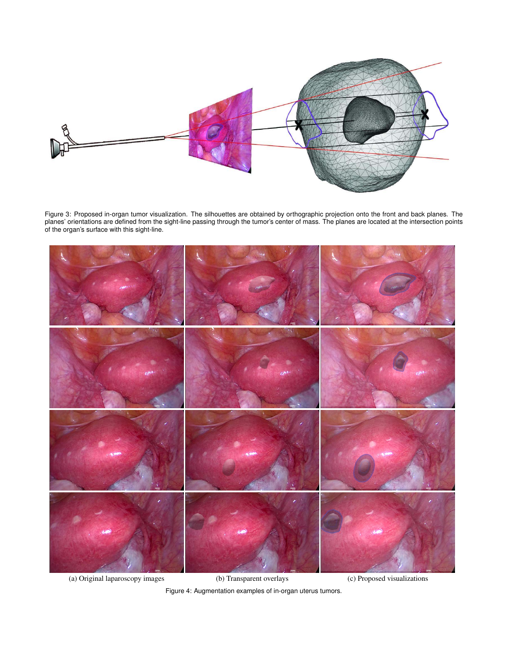

Figure 3: Proposed in-organ tumor visualization. The silhouettes are obtained by orthographic projection onto the front and back planes. The planes' orientations are defined from the sight-line passing through the tumor's center of mass. The planes are located at the intersection points of the organ's surface with this sight-line.



(a) Original laparoscopy images (b) Transparent overlays (c) Proposed visualizations Figure 4: Augmentation examples of in-organ uterus tumors.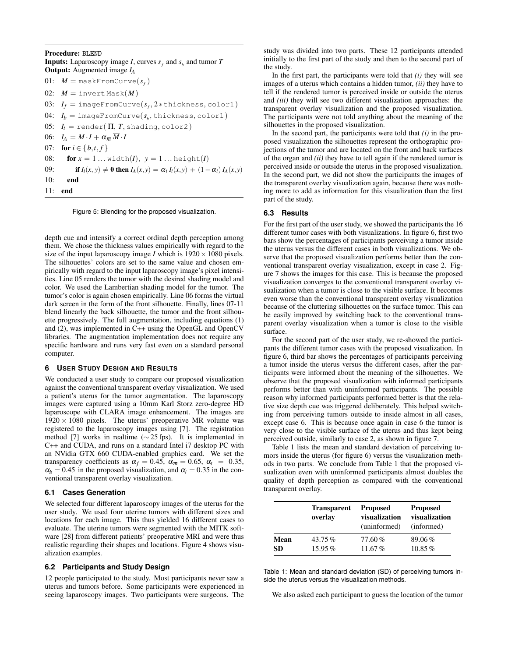Procedure: BLEND **Inputs:** Laparoscopy image *I*, curves  $s_f$  and  $s_b$  and tumor *T* Output: Augmented image *I<sup>A</sup>*  $01:$   $M = \text{maskFromCurve}(s_f)$ 02:  $\overline{M}$  = invert Mask(*M*) 03: *I<sup>f</sup>* = imageFromCurve(*s<sup>f</sup>* , 2 ∗thickness, color1) 04:  $I_b = \text{imageFromCurve}(s_b, \text{thickness}, \text{color1})$ 05:  $I_t = \text{render}(\Pi, T, \text{shading}, \text{color2})$ 06:  $I_A = M \cdot I + \alpha_{\overline{m}} \overline{M} \cdot I$ 07: **for**  $i \in \{b, t, f\}$ 08: **for**  $x = 1 ...$  width(*I*),  $y = 1 ...$  height(*I*) 09: **if**  $I_i(x, y) \neq 0$  then  $I_A(x, y) = \alpha_i I_i(x, y) + (1 - \alpha_i) I_A(x, y)$ 10: end 11: end

Figure 5: Blending for the proposed visualization.

depth cue and intensify a correct ordinal depth perception among them. We chose the thickness values empirically with regard to the size of the input laparoscopy image *I* which is  $1920 \times 1080$  pixels. The silhouettes' colors are set to the same value and chosen empirically with regard to the input laparoscopy image's pixel intensities. Line 05 renders the tumor with the desired shading model and color. We used the Lambertian shading model for the tumor. The tumor's color is again chosen empirically. Line 06 forms the virtual dark screen in the form of the front silhouette. Finally, lines 07-11 blend linearly the back silhouette, the tumor and the front silhouette progressively. The full augmentation, including equations (1) and (2), was implemented in C++ using the OpenGL and OpenCV libraries. The augmentation implementation does not require any specific hardware and runs very fast even on a standard personal computer.

#### **6 USER STUDY DESIGN AND RESULTS**

We conducted a user study to compare our proposed visualization against the conventional transparent overlay visualization. We used a patient's uterus for the tumor augmentation. The laparoscopy images were captured using a 10mm Karl Storz zero-degree HD laparoscope with CLARA image enhancement. The images are  $1920 \times 1080$  pixels. The uterus' preoperative MR volume was registered to the laparoscopy images using [7]. The registration method [7] works in realtime ( $\sim$  25 fps). It is implemented in C++ and CUDA, and runs on a standard Intel i7 desktop PC with an NVidia GTX 660 CUDA-enabled graphics card. We set the transparency coefficients as  $\alpha_f = 0.45$ ,  $\alpha_{\overline{n}} = 0.65$ ,  $\alpha_t = 0.35$ ,  $\alpha_b = 0.45$  in the proposed visualization, and  $\alpha_t = 0.35$  in the conventional transparent overlay visualization.

## **6.1 Cases Generation**

We selected four different laparoscopy images of the uterus for the user study. We used four uterine tumors with different sizes and locations for each image. This thus yielded 16 different cases to evaluate. The uterine tumors were segmented with the MITK software [28] from different patients' preoperative MRI and were thus realistic regarding their shapes and locations. Figure 4 shows visualization examples.

## **6.2 Participants and Study Design**

12 people participated to the study. Most participants never saw a uterus and tumors before. Some participants were experienced in seeing laparoscopy images. Two participants were surgeons. The

study was divided into two parts. These 12 participants attended initially to the first part of the study and then to the second part of the study.

In the first part, the participants were told that *(i)* they will see images of a uterus which contains a hidden tumor, *(ii)* they have to tell if the rendered tumor is perceived inside or outside the uterus and *(iii)* they will see two different visualization approaches: the transparent overlay visualization and the proposed visualization. The participants were not told anything about the meaning of the silhouettes in the proposed visualization.

In the second part, the participants were told that  $(i)$  in the proposed visualization the silhouettes represent the orthographic projections of the tumor and are located on the front and back surfaces of the organ and *(ii)* they have to tell again if the rendered tumor is perceived inside or outside the uterus in the proposed visualization. In the second part, we did not show the participants the images of the transparent overlay visualization again, because there was nothing more to add as information for this visualization than the first part of the study.

#### **6.3 Results**

For the first part of the user study, we showed the participants the 16 different tumor cases with both visualizations. In figure 6, first two bars show the percentages of participants perceiving a tumor inside the uterus versus the different cases in both visualizations. We observe that the proposed visualization performs better than the conventional transparent overlay visualization, except in case 2. Figure 7 shows the images for this case. This is because the proposed visualization converges to the conventional transparent overlay visualization when a tumor is close to the visible surface. It becomes even worse than the conventional transparent overlay visualization because of the cluttering silhouettes on the surface tumor. This can be easily improved by switching back to the conventional transparent overlay visualization when a tumor is close to the visible surface.

For the second part of the user study, we re-showed the participants the different tumor cases with the proposed visualization. In figure 6, third bar shows the percentages of participants perceiving a tumor inside the uterus versus the different cases, after the participants were informed about the meaning of the silhouettes. We observe that the proposed visualization with informed participants performs better than with uninformed participants. The possible reason why informed participants performed better is that the relative size depth cue was triggered deliberately. This helped switching from perceiving tumors outside to inside almost in all cases, except case 6. This is because once again in case 6 the tumor is very close to the visible surface of the uterus and thus kept being perceived outside, similarly to case 2, as shown in figure 7.

Table 1 lists the mean and standard deviation of perceiving tumors inside the uterus (for figure 6) versus the visualization methods in two parts. We conclude from Table 1 that the proposed visualization even with uninformed participants almost doubles the quality of depth perception as compared with the conventional transparent overlay.

|      | <b>Transparent</b><br>overlay | <b>Proposed</b><br>visualization<br>(uninformed) | <b>Proposed</b><br>visualization<br>(informed) |
|------|-------------------------------|--------------------------------------------------|------------------------------------------------|
| Mean | 43.75%                        | $77.60\%$                                        | 89.06%                                         |
| SD   | $15.95\%$                     | 11.67%                                           | $10.85\%$                                      |

Table 1: Mean and standard deviation (SD) of perceiving tumors inside the uterus versus the visualization methods.

We also asked each participant to guess the location of the tumor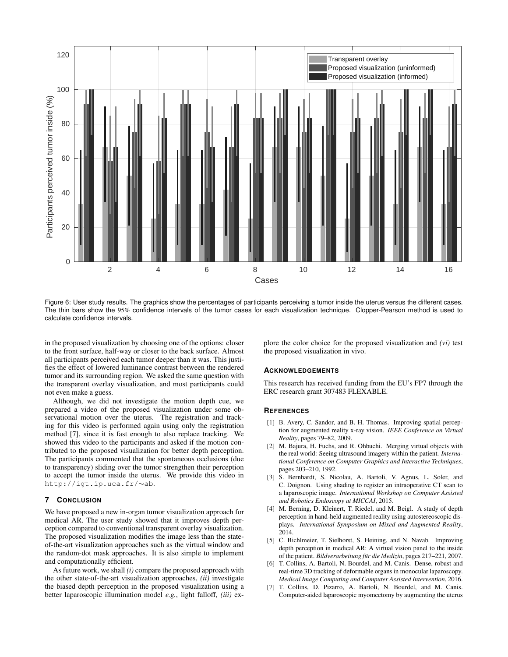

Figure 6: User study results. The graphics show the percentages of participants perceiving a tumor inside the uterus versus the different cases. The thin bars show the 95% confidence intervals of the tumor cases for each visualization technique. Clopper-Pearson method is used to calculate confidence intervals.

in the proposed visualization by choosing one of the options: closer to the front surface, half-way or closer to the back surface. Almost all participants perceived each tumor deeper than it was. This justifies the effect of lowered luminance contrast between the rendered tumor and its surrounding region. We asked the same question with the transparent overlay visualization, and most participants could not even make a guess.

Although, we did not investigate the motion depth cue, we prepared a video of the proposed visualization under some observational motion over the uterus. The registration and tracking for this video is performed again using only the registration method [7], since it is fast enough to also replace tracking. We showed this video to the participants and asked if the motion contributed to the proposed visualization for better depth perception. The participants commented that the spontaneous occlusions (due to transparency) sliding over the tumor strengthen their perception to accept the tumor inside the uterus. We provide this video in http://igt.ip.uca.fr/∼ab.

#### **7 CONCLUSION**

We have proposed a new in-organ tumor visualization approach for medical AR. The user study showed that it improves depth perception compared to conventional transparent overlay visualization. The proposed visualization modifies the image less than the stateof-the-art visualization approaches such as the virtual window and the random-dot mask approaches. It is also simple to implement and computationally efficient.

As future work, we shall *(i)* compare the proposed approach with the other state-of-the-art visualization approaches, *(ii)* investigate the biased depth perception in the proposed visualization using a better laparoscopic illumination model *e.g.*, light falloff, *(iii)* explore the color choice for the proposed visualization and *(vi)* test the proposed visualization in vivo.

#### **ACKNOWLEDGEMENTS**

This research has received funding from the EU's FP7 through the ERC research grant 307483 FLEXABLE.

# **REFERENCES**

- [1] B. Avery, C. Sandor, and B. H. Thomas. Improving spatial perception for augmented reality x-ray vision. *IEEE Conference on Virtual Reality*, pages 79–82, 2009.
- [2] M. Bajura, H. Fuchs, and R. Ohbuchi. Merging virtual objects with the real world: Seeing ultrasound imagery within the patient. *International Conference on Computer Graphics and Interactive Techniques*, pages 203–210, 1992.
- [3] S. Bernhardt, S. Nicolau, A. Bartoli, V. Agnus, L. Soler, and C. Doignon. Using shading to register an intraoperative CT scan to a laparoscopic image. *International Workshop on Computer Assisted and Robotics Endoscopy at MICCAI*, 2015.
- [4] M. Berning, D. Kleinert, T. Riedel, and M. Beigl. A study of depth perception in hand-held augmented reality using autostereoscopic displays. *International Symposium on Mixed and Augmented Reality*, 2014.
- [5] C. Bichlmeier, T. Sielhorst, S. Heining, and N. Navab. Improving depth perception in medical AR: A virtual vision panel to the inside of the patient. *Bildverarbeitung für die Medizin*, pages 217–221, 2007.
- [6] T. Collins, A. Bartoli, N. Bourdel, and M. Canis. Dense, robust and real-time 3D tracking of deformable organs in monocular laparoscopy. *Medical Image Computing and Computer Assisted Intervention*, 2016.
- [7] T. Collins, D. Pizarro, A. Bartoli, N. Bourdel, and M. Canis. Computer-aided laparoscopic myomectomy by augmenting the uterus